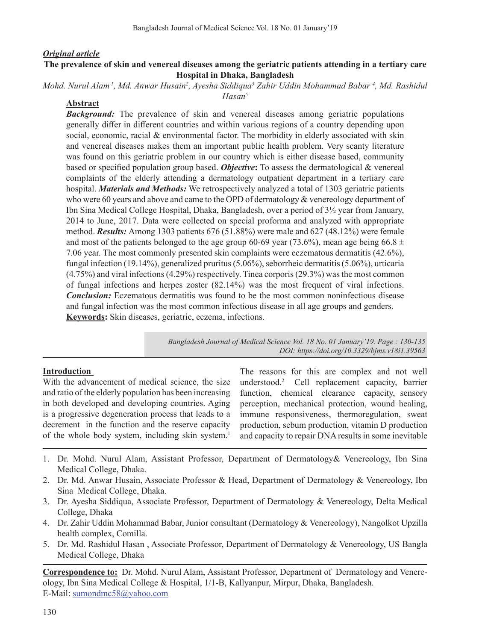#### *Original article*

#### **The prevalence of skin and venereal diseases among the geriatric patients attending in a tertiary care Hospital in Dhaka, Bangladesh**

Mohd. Nurul Alam <sup>1</sup>, Md. Anwar Husain<sup>2</sup>, Ayesha Siddiqua<sup>3</sup> Zahir Uddin Mohammad Babar <sup>4</sup>, Md. Rashidul *Hasan5*

#### **Abstract**

*Background:* The prevalence of skin and venereal diseases among geriatric populations generally differ in different countries and within various regions of a country depending upon social, economic, racial  $\&$  environmental factor. The morbidity in elderly associated with skin and venereal diseases makes them an important public health problem. Very scanty literature was found on this geriatric problem in our country which is either disease based, community based or specified population group based. *Objective***:** To assess the dermatological & venereal complaints of the elderly attending a dermatology outpatient department in a tertiary care hospital. *Materials and Methods:* We retrospectively analyzed a total of 1303 geriatric patients who were 60 years and above and came to the OPD of dermatology & venereology department of Ibn Sina Medical College Hospital, Dhaka, Bangladesh, over a period of 3½ year from January, 2014 to June, 2017. Data were collected on special proforma and analyzed with appropriate method. *Results:* Among 1303 patients 676 (51.88%) were male and 627 (48.12%) were female and most of the patients belonged to the age group 60-69 year (73.6%), mean age being 66.8  $\pm$ 7.06 year. The most commonly presented skin complaints were eczematous dermatitis (42.6%), fungal infection (19.14%), generalized pruritus  $(5.06\%)$ , seborrheic dermatitis  $(5.06\%)$ , urticaria (4.75%) and viral infections(4.29%) respectively. Tinea corporis(29.3%) wasthe most common of fungal infections and herpes zoster (82.14%) was the most frequent of viral infections. *Conclusion:* Eczematous dermatitis was found to be the most common noninfectious disease and fungal infection was the most common infectious disease in all age groups and genders. **Keywords:** Skin diseases, geriatric, eczema, infections.

> *Bangladesh Journal of Medical Science Vol. 18 No. 01 January'19. Page : 130-135 DOI: https://doi.org/10.3329/bjms.v18i1.39563*

#### **Introduction**

With the advancement of medical science, the size and ratio of the elderly population has been increasing in both developed and developing countries. Aging is a progressive degeneration process that leads to a decrement in the function and the reserve capacity of the whole body system, including skin system.<sup>1</sup>

The reasons for this are complex and not well understood.<sup>2</sup> Cell replacement capacity, barrier function, chemical clearance capacity, sensory perception, mechanical protection, wound healing, immune responsiveness, thermoregulation, sweat production, sebum production, vitamin D production and capacity to repair DNA results in some inevitable

- 1. Dr. Mohd. Nurul Alam, Assistant Professor, Department of Dermatology& Venereology, Ibn Sina Medical College, Dhaka.
- 2. Dr. Md. Anwar Husain, Associate Professor & Head, Department of Dermatology & Venereology, Ibn Sina Medical College, Dhaka.
- 3. Dr. Ayesha Siddiqua, Associate Professor, Department of Dermatology & Venereology, Delta Medical College, Dhaka
- 4. Dr. Zahir Uddin Mohammad Babar, Junior consultant (Dermatology & Venereology), Nangolkot Upzilla health complex, Comilla.
- 5. Dr. Md. Rashidul Hasan , Associate Professor, Department of Dermatology & Venereology, US Bangla Medical College, Dhaka

**Correspondence to:** Dr. Mohd. Nurul Alam, Assistant Professor, Department of Dermatology and Venereology, Ibn Sina Medical College & Hospital, 1/1-B, Kallyanpur, Mirpur, Dhaka, Bangladesh. E-Mail: sumondmc58@yahoo.com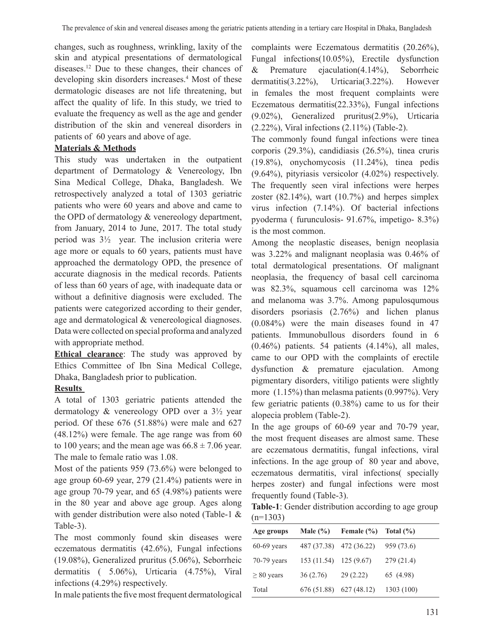changes, such as roughness, wrinkling, laxity of the skin and atypical presentations of dermatological diseases.<sup>12</sup> Due to these changes, their chances of developing skin disorders increases.<sup>4</sup> Most of these dermatologic diseases are not life threatening, but affect the quality of life. In this study, we tried to evaluate the frequency as well as the age and gender distribution of the skin and venereal disorders in patients of 60 years and above of age.

## **Materials & Methods**

This study was undertaken in the outpatient department of Dermatology & Venereology, Ibn Sina Medical College, Dhaka, Bangladesh. We retrospectively analyzed a total of 1303 geriatric patients who were 60 years and above and came to the OPD of dermatology & venereology department, from January, 2014 to June, 2017. The total study period was 3½ year. The inclusion criteria were age more or equals to 60 years, patients must have approached the dermatology OPD, the presence of accurate diagnosis in the medical records. Patients of less than 60 years of age, with inadequate data or without a definitive diagnosis were excluded. The patients were categorized according to their gender, age and dermatological & venereological diagnoses. Data were collected on special proforma and analyzed with appropriate method.

**Ethical clearance**: The study was approved by Ethics Committee of Ibn Sina Medical College, Dhaka, Bangladesh prior to publication.

## **Results**

A total of 1303 geriatric patients attended the dermatology & venereology OPD over a 3½ year period. Of these 676 (51.88%) were male and 627 (48.12%) were female. The age range was from 60 to 100 years; and the mean age was  $66.8 \pm 7.06$  year. The male to female ratio was 1.08.

Most of the patients 959 (73.6%) were belonged to age group 60-69 year, 279 (21.4%) patients were in age group 70-79 year, and 65 (4.98%) patients were in the 80 year and above age group. Ages along with gender distribution were also noted (Table-1 & Table-3).

The most commonly found skin diseases were eczematous dermatitis (42.6%), Fungal infections (19.08%), Generalized pruritus (5.06%), Seborrheic dermatitis ( 5.06%), Urticaria (4.75%), Viral infections (4.29%) respectively.

In male patients the five most frequent dermatological

complaints were Eczematous dermatitis (20.26%), Fungal infections(10.05%), Erectile dysfunction & Premature ejaculation(4.14%), Seborrheic dermatitis(3.22%), Urticaria(3.22%). However in females the most frequent complaints were Eczematous dermatitis(22.33%), Fungal infections (9.02%), Generalized pruritus(2.9%), Urticaria (2.22%), Viral infections (2.11%) (Table-2).

The commonly found fungal infections were tinea corporis (29.3%), candidiasis (26.5%), tinea cruris (19.8%), onychomycosis (11.24%), tinea pedis (9.64%), pityriasis versicolor (4.02%) respectively. The frequently seen viral infections were herpes zoster  $(82.14\%)$ , wart  $(10.7\%)$  and herpes simplex virus infection (7.14%). Of bacterial infections pyoderma ( furunculosis- 91.67%, impetigo- 8.3%) is the most common.

Among the neoplastic diseases, benign neoplasia was 3.22% and malignant neoplasia was 0.46% of total dermatological presentations. Of malignant neoplasia, the frequency of basal cell carcinoma was 82.3%, squamous cell carcinoma was 12% and melanoma was 3.7%. Among papulosqumous disorders psoriasis (2.76%) and lichen planus (0.084%) were the main diseases found in 47 patients. Immunobullous disorders found in 6  $(0.46\%)$  patients. 54 patients  $(4.14\%)$ , all males, came to our OPD with the complaints of erectile dysfunction & premature ejaculation. Among pigmentary disorders, vitiligo patients were slightly more (1.15%) than melasma patients (0.997%). Very few geriatric patients (0.38%) came to us for their alopecia problem (Table-2).

In the age groups of 60-69 year and 70-79 year, the most frequent diseases are almost same. These are eczematous dermatitis, fungal infections, viral infections. In the age group of 80 year and above, eczematous dermatitis, viral infections( specially herpes zoster) and fungal infections were most frequently found (Table-3).

**Table-1**: Gender distribution according to age group  $(n=1303)$ 

| Age groups      | Male $(\% )$           | Female $(\% )$ Total $(\% )$ |            |
|-----------------|------------------------|------------------------------|------------|
| $60-69$ years   |                        | 487 (37.38) 472 (36.22)      | 959 (73.6) |
| $70-79$ years   | 153 (11.54) 125 (9.67) |                              | 279(21.4)  |
| $\geq 80$ years | 36(2.76)               | 29(2.22)                     | 65 (4.98)  |
| Total           |                        | $676(51.88)$ $627(48.12)$    | 1303 (100) |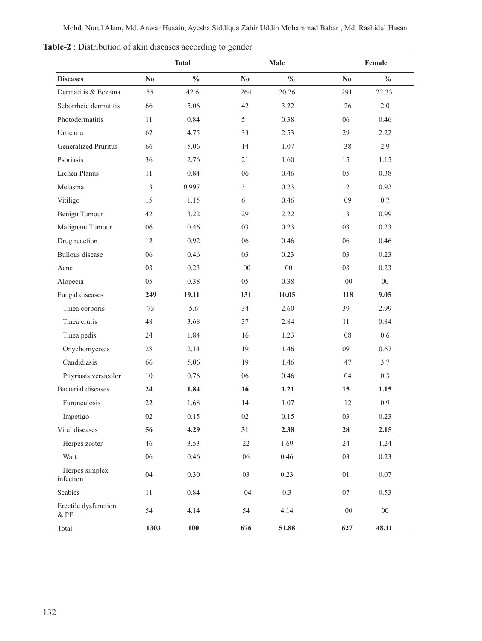|                                 |                        | Male<br><b>Total</b> |          | Female        |            |               |
|---------------------------------|------------------------|----------------------|----------|---------------|------------|---------------|
| <b>Diseases</b>                 | $\mathbf{N}\mathbf{0}$ | $\frac{0}{0}$        | $\bf No$ | $\frac{0}{0}$ | $\bf No$   | $\frac{0}{0}$ |
| Dermatitis & Eczema             | 55                     | 42.6                 | 264      | 20.26         | 291        | 22.33         |
| Seborrheic dermatitis           | 66                     | 5.06                 | 42       | 3.22          | 26         | 2.0           |
| Photodermatitis                 | 11                     | 0.84                 | 5        | 0.38          | 06         | 0.46          |
| Urticaria                       | 62                     | 4.75                 | 33       | 2.53          | 29         | 2.22          |
| <b>Generalized Pruritus</b>     | 66                     | 5.06                 | 14       | 1.07          | 38         | 2.9           |
| Psoriasis                       | 36                     | 2.76                 | 21       | 1.60          | 15         | 1.15          |
| Lichen Planus                   | 11                     | 0.84                 | 06       | 0.46          | 05         | 0.38          |
| Melasma                         | 13                     | 0.997                | 3        | 0.23          | 12         | 0.92          |
| Vitiligo                        | 15                     | 1.15                 | 6        | 0.46          | 09         | $0.7\,$       |
| Benign Tumour                   | 42                     | 3.22                 | 29       | 2.22          | 13         | 0.99          |
| Malignant Tumour                | 06                     | 0.46                 | 03       | 0.23          | 03         | 0.23          |
| Drug reaction                   | 12                     | 0.92                 | 06       | 0.46          | 06         | 0.46          |
| <b>Bullous</b> disease          | 06                     | 0.46                 | 03       | 0.23          | 03         | 0.23          |
| Acne                            | 03                     | 0.23                 | $00\,$   | $00\,$        | 03         | 0.23          |
| Alopecia                        | 05                     | 0.38                 | 05       | 0.38          | $00\,$     | $00\,$        |
| Fungal diseases                 | 249                    | 19.11                | 131      | 10.05         | 118        | 9.05          |
| Tinea corporis                  | 73                     | 5.6                  | 34       | 2.60          | 39         | 2.99          |
| Tinea cruris                    | 48                     | 3.68                 | 37       | 2.84          | 11         | 0.84          |
| Tinea pedis                     | 24                     | 1.84                 | 16       | 1.23          | 08         | 0.6           |
| Onychomycosis                   | 28                     | 2.14                 | 19       | 1.46          | 09         | 0.67          |
| Candidiasis                     | 66                     | 5.06                 | 19       | 1.46          | 47         | 3.7           |
| Pityriasis versicolor           | 10                     | 0.76                 | 06       | 0.46          | 04         | 0.3           |
| <b>Bacterial diseases</b>       | 24                     | 1.84                 | 16       | 1.21          | 15         | 1.15          |
| Furunculosis                    | 22                     | 1.68                 | 14       | 1.07          | 12         | 0.9           |
| Impetigo                        | 02                     | 0.15                 | 02       | 0.15          | 03         | 0.23          |
| Viral diseases                  | 56                     | 4.29                 | 31       | 2.38          | 28         | 2.15          |
| Herpes zoster                   | 46                     | 3.53                 | $22\,$   | 1.69          | 24         | 1.24          |
| Wart                            | 06                     | 0.46                 | 06       | 0.46          | 03         | 0.23          |
| Herpes simplex<br>infection     | 04                     | 0.30                 | 03       | 0.23          | $01\,$     | $0.07\,$      |
| Scabies                         | $11\,$                 | 0.84                 | 04       | 0.3           | $07\,$     | 0.53          |
| Erectile dysfunction<br>$\&$ PE | 54                     | 4.14                 | 54       | 4.14          | ${\bf 00}$ | ${\bf 00}$    |
| Total                           | 1303                   | 100                  | 676      | 51.88         | 627        | 48.11         |

**Table-2** : Distribution of skin diseases according to gender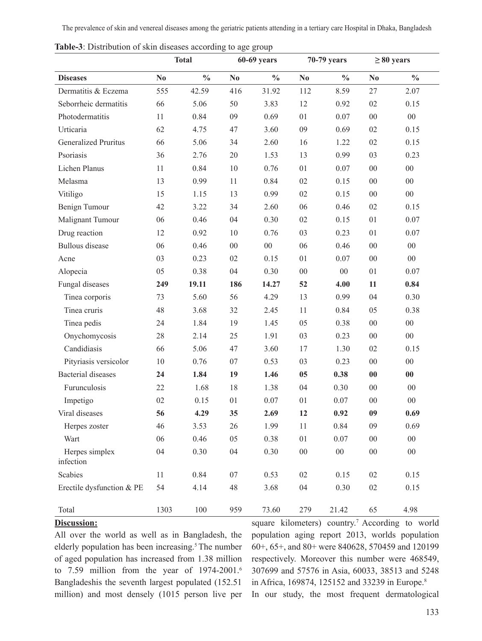The prevalence of skin and venereal diseases among the geriatric patients attending in a tertiary care Hospital in Dhaka, Bangladesh

|                             | <b>Total</b>   |               | $60-69$ years |               | 70-79 years    |               | $\geq 80$ years |               |
|-----------------------------|----------------|---------------|---------------|---------------|----------------|---------------|-----------------|---------------|
| <b>Diseases</b>             | N <sub>0</sub> | $\frac{0}{0}$ | $\bf No$      | $\frac{0}{0}$ | N <sub>0</sub> | $\frac{0}{0}$ | $\bf No$        | $\frac{0}{0}$ |
| Dermatitis & Eczema         | 555            | 42.59         | 416           | 31.92         | 112            | 8.59          | 27              | 2.07          |
| Seborrheic dermatitis       | 66             | 5.06          | 50            | 3.83          | 12             | 0.92          | 02              | 0.15          |
| Photodermatitis             | 11             | 0.84          | 09            | 0.69          | 01             | 0.07          | $00\,$          | $00\,$        |
| Urticaria                   | 62             | 4.75          | 47            | 3.60          | 09             | 0.69          | 02              | 0.15          |
| <b>Generalized Pruritus</b> | 66             | 5.06          | 34            | 2.60          | 16             | 1.22          | 02              | 0.15          |
| Psoriasis                   | 36             | 2.76          | 20            | 1.53          | 13             | 0.99          | 03              | 0.23          |
| Lichen Planus               | 11             | 0.84          | 10            | 0.76          | 01             | 0.07          | $00\,$          | $00\,$        |
| Melasma                     | 13             | 0.99          | 11            | 0.84          | 02             | 0.15          | $00\,$          | $00\,$        |
| Vitiligo                    | 15             | 1.15          | 13            | 0.99          | 02             | 0.15          | $00\,$          | $00\,$        |
| Benign Tumour               | 42             | 3.22          | 34            | 2.60          | 06             | 0.46          | 02              | 0.15          |
| Malignant Tumour            | 06             | 0.46          | 04            | 0.30          | 02             | 0.15          | 01              | 0.07          |
| Drug reaction               | 12             | 0.92          | 10            | 0.76          | 03             | 0.23          | 01              | 0.07          |
| <b>Bullous</b> disease      | 06             | 0.46          | $00\,$        | $00\,$        | 06             | 0.46          | $00\,$          | $00\,$        |
| Acne                        | 03             | 0.23          | 02            | 0.15          | 01             | 0.07          | $00\,$          | $00\,$        |
| Alopecia                    | 05             | 0.38          | 04            | 0.30          | $00\,$         | $00\,$        | 01              | 0.07          |
| Fungal diseases             | 249            | 19.11         | 186           | 14.27         | 52             | 4.00          | 11              | 0.84          |
| Tinea corporis              | 73             | 5.60          | 56            | 4.29          | 13             | 0.99          | 04              | 0.30          |
| Tinea cruris                | 48             | 3.68          | 32            | 2.45          | 11             | 0.84          | 05              | 0.38          |
| Tinea pedis                 | 24             | 1.84          | 19            | 1.45          | 05             | 0.38          | $00\,$          | $00\,$        |
| Onychomycosis               | 28             | 2.14          | 25            | 1.91          | 03             | 0.23          | 00              | $00\,$        |
| Candidiasis                 | 66             | 5.06          | 47            | 3.60          | 17             | 1.30          | 02              | 0.15          |
| Pityriasis versicolor       | 10             | 0.76          | 07            | 0.53          | 03             | 0.23          | $00\,$          | $00\,$        |
| <b>Bacterial</b> diseases   | 24             | 1.84          | 19            | 1.46          | 05             | 0.38          | 00              | 00            |
| Furunculosis                | 22             | 1.68          | 18            | 1.38          | 04             | 0.30          | $00\,$          | $00\,$        |
| Impetigo                    | 02             | 0.15          | 01            | 0.07          | 01             | 0.07          | 00              | $00\,$        |
| Viral diseases              | 56             | 4.29          | 35            | 2.69          | 12             | 0.92          | 09              | 0.69          |
| Herpes zoster               | 46             | 3.53          | 26            | 1.99          | 11             | 0.84          | 09              | 0.69          |
| Wart                        | 06             | 0.46          | 05            | 0.38          | 01             | 0.07          | $00\,$          | $00\,$        |
| Herpes simplex<br>infection | 04             | 0.30          | 04            | 0.30          | $00\,$         | $00\,$        | $00\,$          | $00\,$        |
| Scabies                     | 11             | 0.84          | $07\,$        | 0.53          | 02             | 0.15          | $02\,$          | 0.15          |
| Erectile dysfunction & PE   | 54             | 4.14          | 48            | 3.68          | 04             | 0.30          | $02\,$          | 0.15          |
| Total                       | 1303           | 100           | 959           | 73.60         | 279            | 21.42         | 65              | 4.98          |

**Table-3**: Distribution of skin diseases according to age group

### **Discussion:**

All over the world as well as in Bangladesh, the elderly population has been increasing.<sup>5</sup>The number of aged population has increased from 1.38 million to 7.59 million from the year of 1974-2001.<sup>6</sup> Bangladeshis the seventh largest populated (152.51 million) and most densely (1015 person live per square kilometers) country.<sup>7</sup> According to world population aging report 2013, worlds population 60+, 65+, and 80+ were 840628, 570459 and 120199 respectively. Moreover this number were 468549, 307699 and 57576 in Asia, 60033, 38513 and 5248 in Africa, 169874, 125152 and 33239 in Europe.<sup>8</sup> In our study, the most frequent dermatological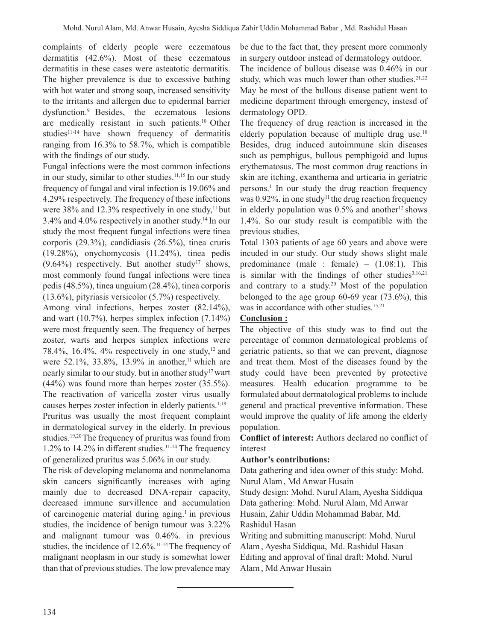complaints of elderly people were eczematous dermatitis (42.6%). Most of these eczematous dermatitis in these cases were asteatotic dermatitis. The higher prevalence is due to excessive bathing with hot water and strong soap, increased sensitivity to the irritants and allergen due to epidermal barrier dysfunction.9 Besides, the eczematous lesions are medically resistant in such patients.<sup>10</sup> Other studies<sup>11-14</sup> have shown frequency of dermatitis ranging from 16.3% to 58.7%, which is compatible with the findings of our study.

Fungal infections were the most common infections in our study, similar to other studies.<sup>11,15</sup> In our study frequency of fungal and viral infection is 19.06% and 4.29% respectively. The frequency of these infections were 38% and 12.3% respectively in one study, $11$  but 3.4% and 4.0% respectively in another study.<sup>14</sup> In our study the most frequent fungal infections were tinea corporis (29.3%), candidiasis (26.5%), tinea cruris (19.28%), onychomycosis (11.24%), tinea pedis  $(9.64\%)$  respectively. But another study<sup>17</sup> shows, most commonly found fungal infections were tinea pedis (48.5%), tinea unguium (28.4%), tinea corporis (13.6%), pityriasis versicolor (5.7%) respectively.

Among viral infections, herpes zoster (82.14%), and wart (10.7%), herpes simplex infection (7.14%) were most frequently seen. The frequency of herpes zoster, warts and herpes simplex infections were 78.4%, 16.4%, 4% respectively in one study, $12$  and were 52.1%, 33.8%, 13.9% in another,<sup>11</sup> which are nearly similar to our study. but in another study<sup>17</sup> wart (44%) was found more than herpes zoster (35.5%). The reactivation of varicella zoster virus usually causes herpes zoster infection in elderly patients.<sup>1,18</sup> Pruritus was usually the most frequent complaint in dermatological survey in the elderly. In previous studies.<sup>19,20</sup>The frequency of pruritus was found from 1.2% to 14.2% in different studies.<sup>11-14</sup> The frequency of generalized pruritus was 5.06% in our study.

The risk of developing melanoma and nonmelanoma skin cancers significantly increases with aging mainly due to decreased DNA-repair capacity, decreased immune survillence and accumulation of carcinogenic material during aging.<sup>1</sup> in previous studies, the incidence of benign tumour was 3.22% and malignant tumour was 0.46%. in previous studies, the incidence of 12.6%.11-14The frequency of malignant neoplasm in our study is somewhat lower than that of previous studies. The low prevalence may

be due to the fact that, they present more commonly in surgery outdoor instead of dermatology outdoor. The incidence of bullous disease was 0.46% in our study, which was much lower than other studies.<sup>21,22</sup> May be most of the bullous disease patient went to medicine department through emergency, instesd of dermatology OPD.

The frequency of drug reaction is increased in the elderly population because of multiple drug use.<sup>10</sup> Besides, drug induced autoimmune skin diseases such as pemphigus, bullous pemphigoid and lupus erythematosus. The most common drug reactions in skin are itching, exanthema and urticaria in geriatric persons.<sup>1</sup> In our study the drug reaction frequency was  $0.92\%$ . in one study<sup>11</sup> the drug reaction frequency in elderly population was  $0.5\%$  and another<sup>12</sup> shows 1.4%. So our study result is compatible with the previous studies.

Total 1303 patients of age 60 years and above were incuded in our study. Our study shows slight male predominance (male : female) =  $(1.08:1)$ . This is similar with the findings of other studies $3,16,21$ and contrary to a study.<sup>20</sup> Most of the population belonged to the age group 60-69 year (73.6%), this was in accordance with other studies.<sup>15,21</sup>

# **Conclusion :**

The objective of this study was to find out the percentage of common dermatological problems of geriatric patients, so that we can prevent, diagnose and treat them. Most of the diseases found by the study could have been prevented by protective measures. Health education programme to be formulated about dermatological problems to include general and practical preventive information. These would improve the quality of life among the elderly population.

**Conflict of interest:** Authors declared no conflict of interest

## **Author's contributions:**

Data gathering and idea owner of this study: Mohd. Nurul Alam, Md Anwar Husain

Study design: Mohd. Nurul Alam, Ayesha Siddiqua Data gathering: Mohd. Nurul Alam, Md Anwar Husain, Zahir Uddin Mohammad Babar, Md. Rashidul Hasan

Writing and submitting manuscript: Mohd. Nurul Alam, Ayesha Siddiqua, Md. Rashidul Hasan Editing and approval of final draft: Mohd. Nurul Alam, Md Anwar Husain